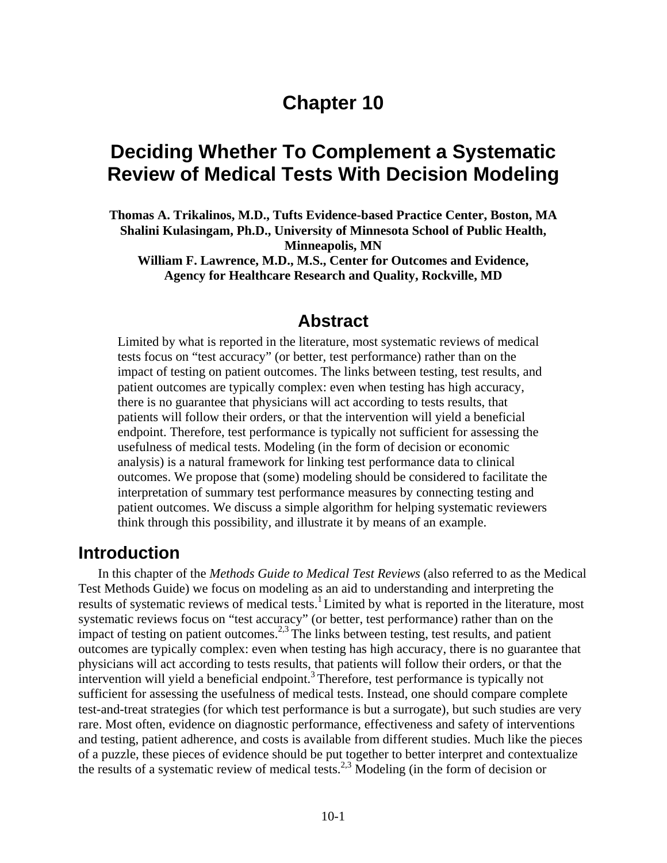# **Chapter 10**

# **Deciding Whether To Complement a Systematic Review of Medical Tests With Decision Modeling**

**Thomas A. Trikalinos, M.D., Tufts Evidence-based Practice Center, Boston, MA Shalini Kulasingam, Ph.D., University of Minnesota School of Public Health, Minneapolis, MN**

**William F. Lawrence, M.D., M.S., Center for Outcomes and Evidence, Agency for Healthcare Research and Quality, Rockville, MD**

### **Abstract**

Limited by what is reported in the literature, most systematic reviews of medical tests focus on "test accuracy" (or better, test performance) rather than on the impact of testing on patient outcomes. The links between testing, test results, and patient outcomes are typically complex: even when testing has high accuracy, there is no guarantee that physicians will act according to tests results, that patients will follow their orders, or that the intervention will yield a beneficial endpoint. Therefore, test performance is typically not sufficient for assessing the usefulness of medical tests. Modeling (in the form of decision or economic analysis) is a natural framework for linking test performance data to clinical outcomes. We propose that (some) modeling should be considered to facilitate the interpretation of summary test performance measures by connecting testing and patient outcomes. We discuss a simple algorithm for helping systematic reviewers think through this possibility, and illustrate it by means of an example.

### **Introduction**

In this chapter of the *Methods Guide to Medical Test Reviews* (also referred to as the Medical Test Methods Guide) we focus on modeling as an aid to understanding and interpreting the results of systematic reviews of medical tests.<sup>1</sup>Limited by what is reported in the literature, most systematic reviews focus on "test accuracy" (or better, test performance) rather than on the impact of testing on patient outcomes.<sup>2,3</sup> The links between testing, test results, and patient outcomes are typically complex: even when testing has high accuracy, there is no guarantee that physicians will act according to tests results, that patients will follow their orders, or that the intervention will yield a beneficial endpoint.<sup>3</sup> Therefore, test performance is typically not sufficient for assessing the usefulness of medical tests. Instead, one should compare complete test-and-treat strategies (for which test performance is but a surrogate), but such studies are very rare. Most often, evidence on diagnostic performance, effectiveness and safety of interventions and testing, patient adherence, and costs is available from different studies. Much like the pieces of a puzzle, these pieces of evidence should be put together to better interpret and contextualize the results of a systematic review of medical tests.<sup>2,3</sup> Modeling (in the form of decision or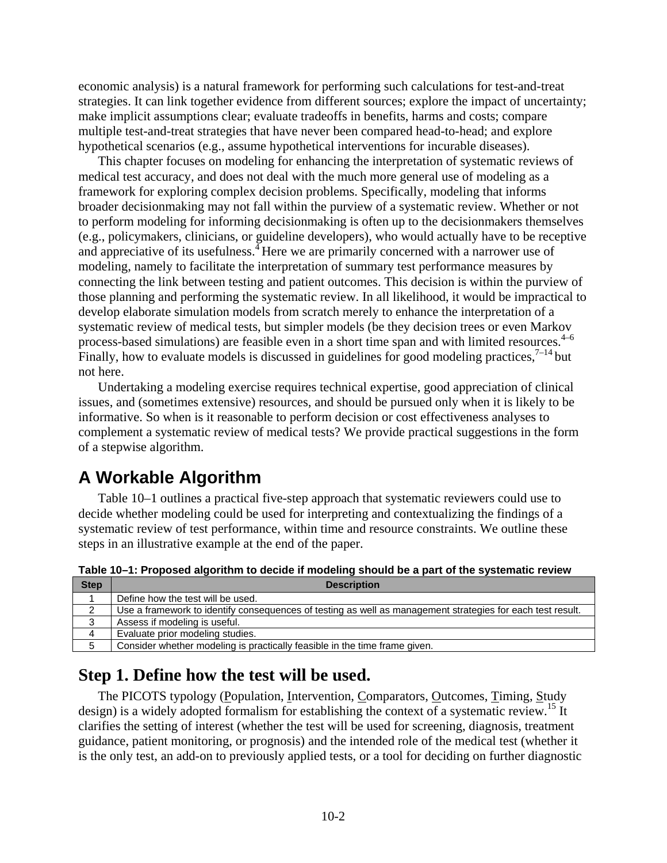economic analysis) is a natural framework for performing such calculations for test-and-treat strategies. It can link together evidence from different sources; explore the impact of uncertainty; make implicit assumptions clear; evaluate tradeoffs in benefits, harms and costs; compare multiple test-and-treat strategies that have never been compared head-to-head; and explore hypothetical scenarios (e.g., assume hypothetical interventions for incurable diseases).

This chapter focuses on modeling for enhancing the interpretation of systematic reviews of medical test accuracy, and does not deal with the much more general use of modeling as a framework for exploring complex decision problems. Specifically, modeling that informs broader decisionmaking may not fall within the purview of a systematic review. Whether or not to perform modeling for informing decisionmaking is often up to the decisionmakers themselves (e.g., policymakers, clinicians, or guideline developers), who would actually have to be receptive and appreciative of its usefulness.<sup>4</sup> Here we are primarily concerned with a narrower use of modeling, namely to facilitate the interpretation of summary test performance measures by connecting the link between testing and patient outcomes. This decision is within the purview of those planning and performing the systematic review. In all likelihood, it would be impractical to develop elaborate simulation models from scratch merely to enhance the interpretation of a systematic review of medical tests, but simpler models (be they decision trees or even Markov process-based simulations) are feasible even in a short time span and with limited resources. $4-6$ Finally, how to evaluate models is discussed in guidelines for good modeling practices.<sup>7-14</sup> but not here.

Undertaking a modeling exercise requires technical expertise, good appreciation of clinical issues, and (sometimes extensive) resources, and should be pursued only when it is likely to be informative. So when is it reasonable to perform decision or cost effectiveness analyses to complement a systematic review of medical tests? We provide practical suggestions in the form of a stepwise algorithm.

# **A Workable Algorithm**

Table 10–1 outlines a practical five-step approach that systematic reviewers could use to decide whether modeling could be used for interpreting and contextualizing the findings of a systematic review of test performance, within time and resource constraints. We outline these steps in an illustrative example at the end of the paper.

| <b>Step</b> | <b>Description</b>                                                                                         |  |
|-------------|------------------------------------------------------------------------------------------------------------|--|
|             | Define how the test will be used.                                                                          |  |
|             | Use a framework to identify consequences of testing as well as management strategies for each test result. |  |
| 3           | Assess if modeling is useful.                                                                              |  |
| 4           | Evaluate prior modeling studies.                                                                           |  |
| 5           | Consider whether modeling is practically feasible in the time frame given.                                 |  |
|             |                                                                                                            |  |

**Table 10–1: Proposed algorithm to decide if modeling should be a part of the systematic review**

## **Step 1. Define how the test will be used.**

The PICOTS typology (Population, Intervention, Comparators, Outcomes, Timing, Study design) is a widely adopted formalism for establishing the context of a systematic review.<sup>15</sup> It clarifies the setting of interest (whether the test will be used for screening, diagnosis, treatment guidance, patient monitoring, or prognosis) and the intended role of the medical test (whether it is the only test, an add-on to previously applied tests, or a tool for deciding on further diagnostic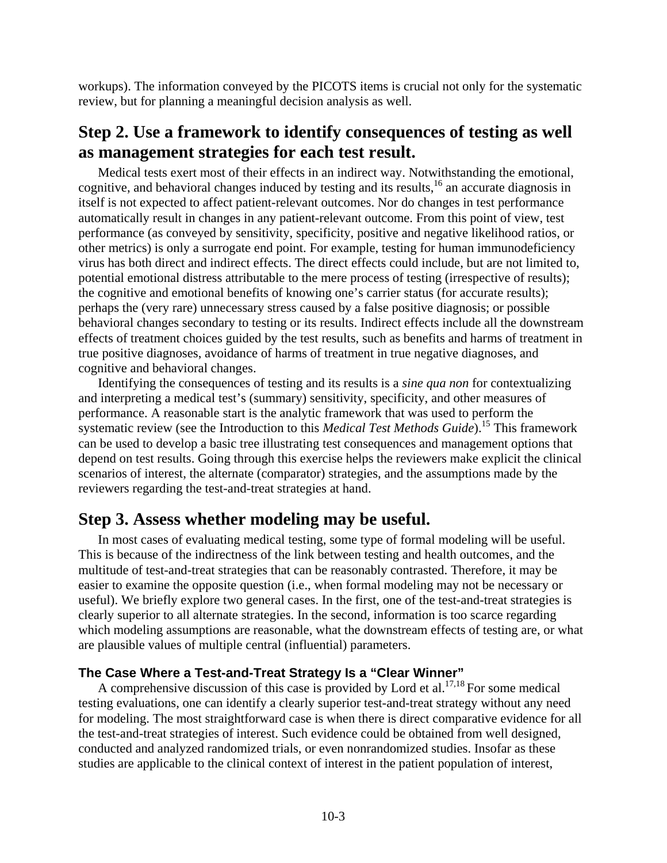workups). The information conveyed by the PICOTS items is crucial not only for the systematic review, but for planning a meaningful decision analysis as well.

## **Step 2. Use a framework to identify consequences of testing as well as management strategies for each test result.**

Medical tests exert most of their effects in an indirect way. Notwithstanding the emotional, cognitive, and behavioral changes induced by testing and its results, $16$  an accurate diagnosis in itself is not expected to affect patient-relevant outcomes. Nor do changes in test performance automatically result in changes in any patient-relevant outcome. From this point of view, test performance (as conveyed by sensitivity, specificity, positive and negative likelihood ratios, or other metrics) is only a surrogate end point. For example, testing for human immunodeficiency virus has both direct and indirect effects. The direct effects could include, but are not limited to, potential emotional distress attributable to the mere process of testing (irrespective of results); the cognitive and emotional benefits of knowing one's carrier status (for accurate results); perhaps the (very rare) unnecessary stress caused by a false positive diagnosis; or possible behavioral changes secondary to testing or its results. Indirect effects include all the downstream effects of treatment choices guided by the test results, such as benefits and harms of treatment in true positive diagnoses, avoidance of harms of treatment in true negative diagnoses, and cognitive and behavioral changes.

Identifying the consequences of testing and its results is a *sine qua non* for contextualizing and interpreting a medical test's (summary) sensitivity, specificity, and other measures of performance. A reasonable start is the analytic framework that was used to perform the systematic review (see the Introduction to this *Medical Test Methods Guide*).<sup>15</sup> This framework can be used to develop a basic tree illustrating test consequences and management options that depend on test results. Going through this exercise helps the reviewers make explicit the clinical scenarios of interest, the alternate (comparator) strategies, and the assumptions made by the reviewers regarding the test-and-treat strategies at hand.

## **Step 3. Assess whether modeling may be useful.**

In most cases of evaluating medical testing, some type of formal modeling will be useful. This is because of the indirectness of the link between testing and health outcomes, and the multitude of test-and-treat strategies that can be reasonably contrasted. Therefore, it may be easier to examine the opposite question (i.e., when formal modeling may not be necessary or useful). We briefly explore two general cases. In the first, one of the test-and-treat strategies is clearly superior to all alternate strategies. In the second, information is too scarce regarding which modeling assumptions are reasonable, what the downstream effects of testing are, or what are plausible values of multiple central (influential) parameters.

#### **The Case Where a Test-and-Treat Strategy Is a "Clear Winner"**

A comprehensive discussion of this case is provided by Lord et al.<sup>17,18</sup> For some medical testing evaluations, one can identify a clearly superior test-and-treat strategy without any need for modeling. The most straightforward case is when there is direct comparative evidence for all the test-and-treat strategies of interest. Such evidence could be obtained from well designed, conducted and analyzed randomized trials, or even nonrandomized studies. Insofar as these studies are applicable to the clinical context of interest in the patient population of interest,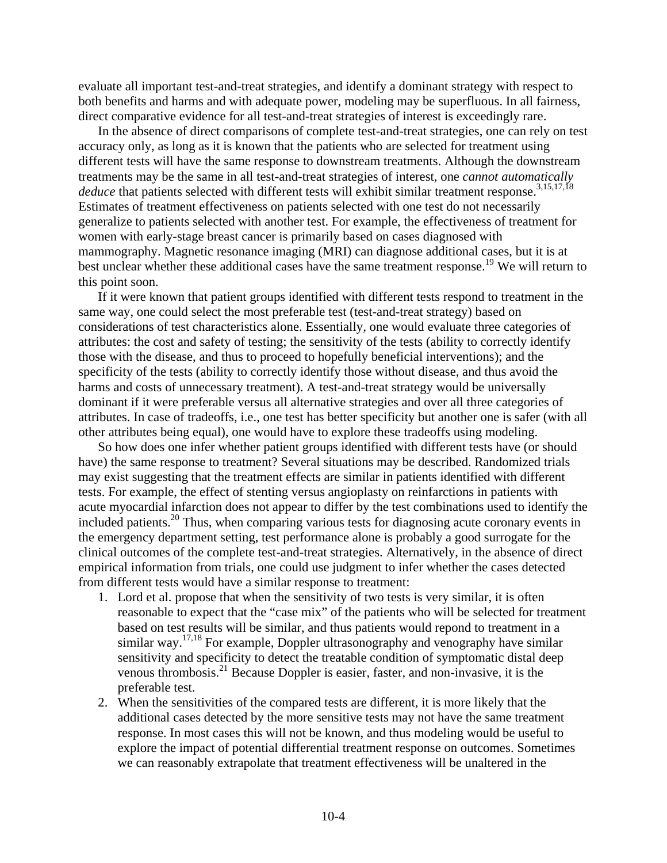evaluate all important test-and-treat strategies, and identify a dominant strategy with respect to both benefits and harms and with adequate power, modeling may be superfluous. In all fairness, direct comparative evidence for all test-and-treat strategies of interest is exceedingly rare.

In the absence of direct comparisons of complete test-and-treat strategies, one can rely on test accuracy only, as long as it is known that the patients who are selected for treatment using different tests will have the same response to downstream treatments. Although the downstream treatments may be the same in all test-and-treat strategies of interest, one *cannot automatically deduce* that patients selected with different tests will exhibit similar treatment response.<sup>3,15,17,18</sup> Estimates of treatment effectiveness on patients selected with one test do not necessarily generalize to patients selected with another test. For example, the effectiveness of treatment for women with early-stage breast cancer is primarily based on cases diagnosed with mammography. Magnetic resonance imaging (MRI) can diagnose additional cases, but it is at best unclear whether these additional cases have the same treatment response.<sup>19</sup> We will return to this point soon.

If it were known that patient groups identified with different tests respond to treatment in the same way, one could select the most preferable test (test-and-treat strategy) based on considerations of test characteristics alone. Essentially, one would evaluate three categories of attributes: the cost and safety of testing; the sensitivity of the tests (ability to correctly identify those with the disease, and thus to proceed to hopefully beneficial interventions); and the specificity of the tests (ability to correctly identify those without disease, and thus avoid the harms and costs of unnecessary treatment). A test-and-treat strategy would be universally dominant if it were preferable versus all alternative strategies and over all three categories of attributes. In case of tradeoffs, i.e., one test has better specificity but another one is safer (with all other attributes being equal), one would have to explore these tradeoffs using modeling.

So how does one infer whether patient groups identified with different tests have (or should have) the same response to treatment? Several situations may be described. Randomized trials may exist suggesting that the treatment effects are similar in patients identified with different tests. For example, the effect of stenting versus angioplasty on reinfarctions in patients with acute myocardial infarction does not appear to differ by the test combinations used to identify the included patients.<sup>20</sup> Thus, when comparing various tests for diagnosing acute coronary events in the emergency department setting, test performance alone is probably a good surrogate for the clinical outcomes of the complete test-and-treat strategies. Alternatively, in the absence of direct empirical information from trials, one could use judgment to infer whether the cases detected from different tests would have a similar response to treatment:

- 1. Lord et al. propose that when the sensitivity of two tests is very similar, it is often reasonable to expect that the "case mix" of the patients who will be selected for treatment based on test results will be similar, and thus patients would repond to treatment in a similar way.<sup>17,18</sup> For example, Doppler ultrasonography and venography have similar sensitivity and specificity to detect the treatable condition of symptomatic distal deep venous thrombosis.<sup>21</sup> Because Doppler is easier, faster, and non-invasive, it is the preferable test.
- 2. When the sensitivities of the compared tests are different, it is more likely that the additional cases detected by the more sensitive tests may not have the same treatment response. In most cases this will not be known, and thus modeling would be useful to explore the impact of potential differential treatment response on outcomes. Sometimes we can reasonably extrapolate that treatment effectiveness will be unaltered in the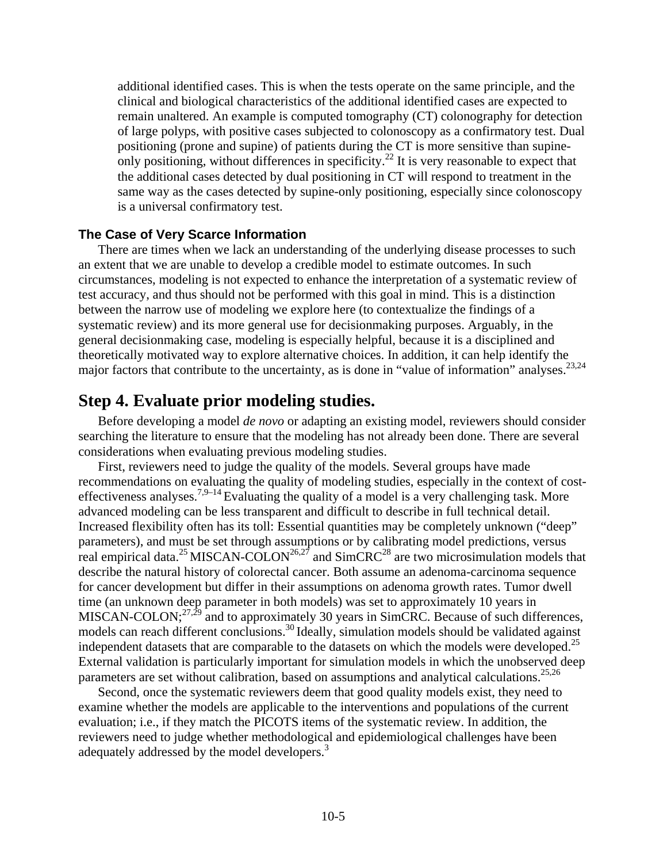additional identified cases. This is when the tests operate on the same principle, and the clinical and biological characteristics of the additional identified cases are expected to remain unaltered. An example is computed tomography (CT) colonography for detection of large polyps, with positive cases subjected to colonoscopy as a confirmatory test. Dual positioning (prone and supine) of patients during the CT is more sensitive than supineonly positioning, without differences in specificity.<sup>22</sup> It is very reasonable to expect that the additional cases detected by dual positioning in CT will respond to treatment in the same way as the cases detected by supine-only positioning, especially since colonoscopy is a universal confirmatory test.

#### **The Case of Very Scarce Information**

There are times when we lack an understanding of the underlying disease processes to such an extent that we are unable to develop a credible model to estimate outcomes. In such circumstances, modeling is not expected to enhance the interpretation of a systematic review of test accuracy, and thus should not be performed with this goal in mind. This is a distinction between the narrow use of modeling we explore here (to contextualize the findings of a systematic review) and its more general use for decisionmaking purposes. Arguably, in the general decisionmaking case, modeling is especially helpful, because it is a disciplined and theoretically motivated way to explore alternative choices. In addition, it can help identify the major factors that contribute to the uncertainty, as is done in "value of information" analyses.<sup>23,24</sup>

### **Step 4. Evaluate prior modeling studies.**

Before developing a model *de novo* or adapting an existing model, reviewers should consider searching the literature to ensure that the modeling has not already been done. There are several considerations when evaluating previous modeling studies.

First, reviewers need to judge the quality of the models. Several groups have made recommendations on evaluating the quality of modeling studies, especially in the context of costeffectiveness analyses.<sup>7,9–14</sup> Evaluating the quality of a model is a very challenging task. More advanced modeling can be less transparent and difficult to describe in full technical detail. Increased flexibility often has its toll: Essential quantities may be completely unknown ("deep" parameters), and must be set through assumptions or by calibrating model predictions, versus real empirical data.<sup>25</sup> MISCAN-COLON<sup>26,27</sup> and SimCRC<sup>28</sup> are two microsimulation models that describe the natural history of colorectal cancer. Both assume an adenoma-carcinoma sequence for cancer development but differ in their assumptions on adenoma growth rates. Tumor dwell time (an unknown deep parameter in both models) was set to approximately 10 years in  $MISCAN-COLON;^{27,29}$  and to approximately 30 years in SimCRC. Because of such differences, models can reach different conclusions.<sup>30</sup> Ideally, simulation models should be validated against independent datasets that are comparable to the datasets on which the models were developed.<sup>25</sup> External validation is particularly important for simulation models in which the unobserved deep parameters are set without calibration, based on assumptions and analytical calculations.<sup>25,26</sup>

Second, once the systematic reviewers deem that good quality models exist, they need to examine whether the models are applicable to the interventions and populations of the current evaluation; i.e., if they match the PICOTS items of the systematic review. In addition, the reviewers need to judge whether methodological and epidemiological challenges have been adequately addressed by the model developers.<sup>3</sup>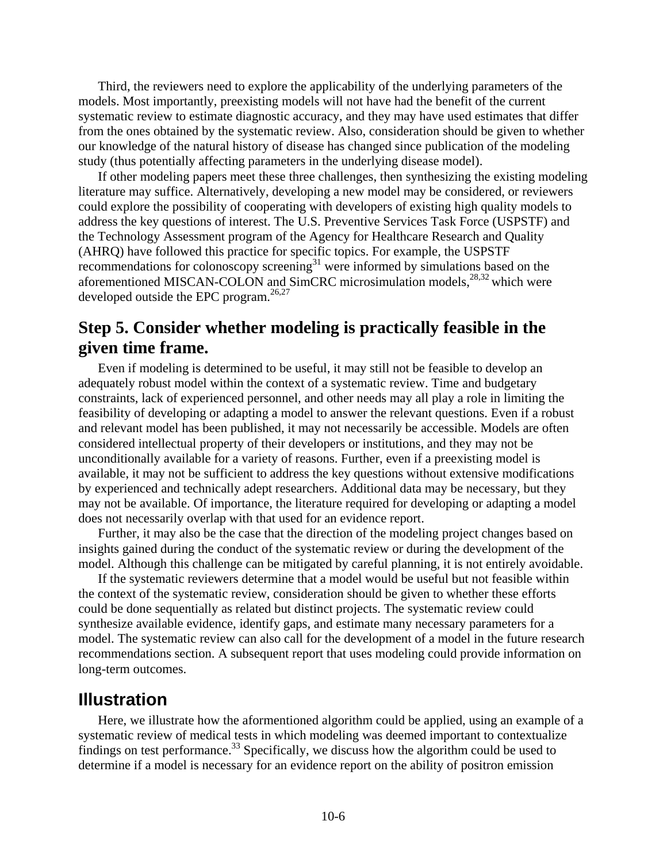Third, the reviewers need to explore the applicability of the underlying parameters of the models. Most importantly, preexisting models will not have had the benefit of the current systematic review to estimate diagnostic accuracy, and they may have used estimates that differ from the ones obtained by the systematic review. Also, consideration should be given to whether our knowledge of the natural history of disease has changed since publication of the modeling study (thus potentially affecting parameters in the underlying disease model).

If other modeling papers meet these three challenges, then synthesizing the existing modeling literature may suffice. Alternatively, developing a new model may be considered, or reviewers could explore the possibility of cooperating with developers of existing high quality models to address the key questions of interest. The U.S. Preventive Services Task Force (USPSTF) and the Technology Assessment program of the Agency for Healthcare Research and Quality (AHRQ) have followed this practice for specific topics. For example, the USPSTF recommendations for colonoscopy screening $31$  were informed by simulations based on the aforementioned MISCAN-COLON and SimCRC microsimulation models,<sup>28,32</sup> which were developed outside the EPC program.<sup>26,27</sup>

## **Step 5. Consider whether modeling is practically feasible in the given time frame.**

Even if modeling is determined to be useful, it may still not be feasible to develop an adequately robust model within the context of a systematic review. Time and budgetary constraints, lack of experienced personnel, and other needs may all play a role in limiting the feasibility of developing or adapting a model to answer the relevant questions. Even if a robust and relevant model has been published, it may not necessarily be accessible. Models are often considered intellectual property of their developers or institutions, and they may not be unconditionally available for a variety of reasons. Further, even if a preexisting model is available, it may not be sufficient to address the key questions without extensive modifications by experienced and technically adept researchers. Additional data may be necessary, but they may not be available. Of importance, the literature required for developing or adapting a model does not necessarily overlap with that used for an evidence report.

Further, it may also be the case that the direction of the modeling project changes based on insights gained during the conduct of the systematic review or during the development of the model. Although this challenge can be mitigated by careful planning, it is not entirely avoidable.

If the systematic reviewers determine that a model would be useful but not feasible within the context of the systematic review, consideration should be given to whether these efforts could be done sequentially as related but distinct projects. The systematic review could synthesize available evidence, identify gaps, and estimate many necessary parameters for a model. The systematic review can also call for the development of a model in the future research recommendations section. A subsequent report that uses modeling could provide information on long-term outcomes.

### **Illustration**

Here, we illustrate how the aformentioned algorithm could be applied, using an example of a systematic review of medical tests in which modeling was deemed important to contextualize findings on test performance.<sup>33</sup> Specifically, we discuss how the algorithm could be used to determine if a model is necessary for an evidence report on the ability of positron emission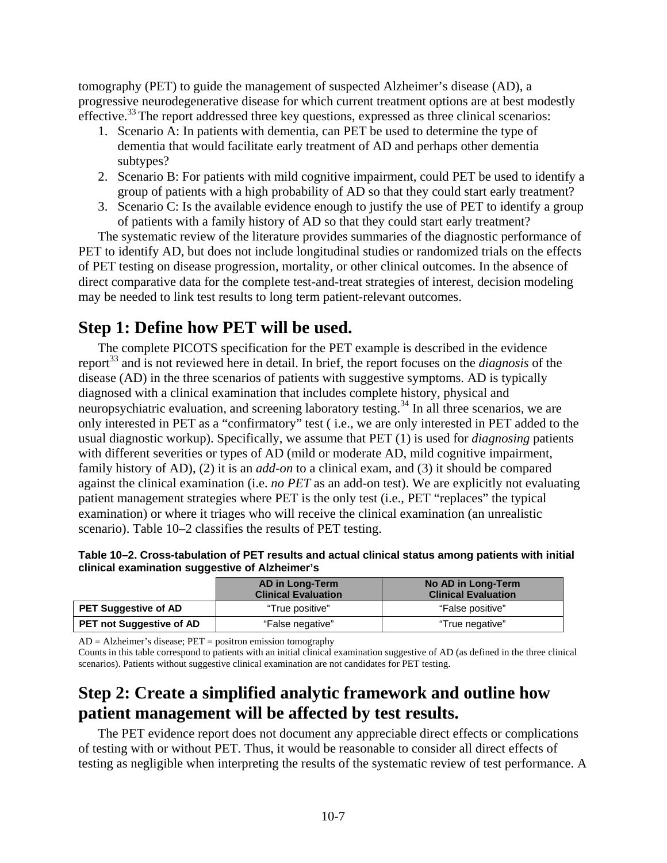tomography (PET) to guide the management of suspected Alzheimer's disease (AD), a progressive neurodegenerative disease for which current treatment options are at best modestly effective.<sup>33</sup> The report addressed three key questions, expressed as three clinical scenarios:

- 1. Scenario A: In patients with dementia, can PET be used to determine the type of dementia that would facilitate early treatment of AD and perhaps other dementia subtypes?
- 2. Scenario B: For patients with mild cognitive impairment, could PET be used to identify a group of patients with a high probability of AD so that they could start early treatment?
- 3. Scenario C: Is the available evidence enough to justify the use of PET to identify a group of patients with a family history of AD so that they could start early treatment?

The systematic review of the literature provides summaries of the diagnostic performance of PET to identify AD, but does not include longitudinal studies or randomized trials on the effects of PET testing on disease progression, mortality, or other clinical outcomes. In the absence of direct comparative data for the complete test-and-treat strategies of interest, decision modeling may be needed to link test results to long term patient-relevant outcomes.

## **Step 1: Define how PET will be used.**

The complete PICOTS specification for the PET example is described in the evidence report33 and is not reviewed here in detail. In brief, the report focuses on the *diagnosis* of the disease (AD) in the three scenarios of patients with suggestive symptoms. AD is typically diagnosed with a clinical examination that includes complete history, physical and neuropsychiatric evaluation, and screening laboratory testing.<sup>34</sup> In all three scenarios, we are only interested in PET as a "confirmatory" test ( i.e., we are only interested in PET added to the usual diagnostic workup). Specifically, we assume that PET (1) is used for *diagnosing* patients with different severities or types of AD (mild or moderate AD, mild cognitive impairment, family history of AD), (2) it is an *add-on* to a clinical exam, and (3) it should be compared against the clinical examination (i.e. *no PET* as an add-on test). We are explicitly not evaluating patient management strategies where PET is the only test (i.e., PET "replaces" the typical examination) or where it triages who will receive the clinical examination (an unrealistic scenario). Table 10–2 classifies the results of PET testing.

| Table 10–2. Cross-tabulation of PET results and actual clinical status among patients with initial |  |
|----------------------------------------------------------------------------------------------------|--|
| clinical examination suggestive of Alzheimer's                                                     |  |

|                             | <b>AD in Long-Term</b><br><b>Clinical Evaluation</b> | No AD in Long-Term<br><b>Clinical Evaluation</b> |
|-----------------------------|------------------------------------------------------|--------------------------------------------------|
| <b>PET Suggestive of AD</b> | "True positive"                                      | "False positive"                                 |
| PET not Suggestive of AD    | "False negative"                                     | "True negative"                                  |

 $AD = Alzheimer's disease; PET = positron emission tomography$ 

Counts in this table correspond to patients with an initial clinical examination suggestive of AD (as defined in the three clinical scenarios). Patients without suggestive clinical examination are not candidates for PET testing.

## **Step 2: Create a simplified analytic framework and outline how patient management will be affected by test results.**

The PET evidence report does not document any appreciable direct effects or complications of testing with or without PET. Thus, it would be reasonable to consider all direct effects of testing as negligible when interpreting the results of the systematic review of test performance. A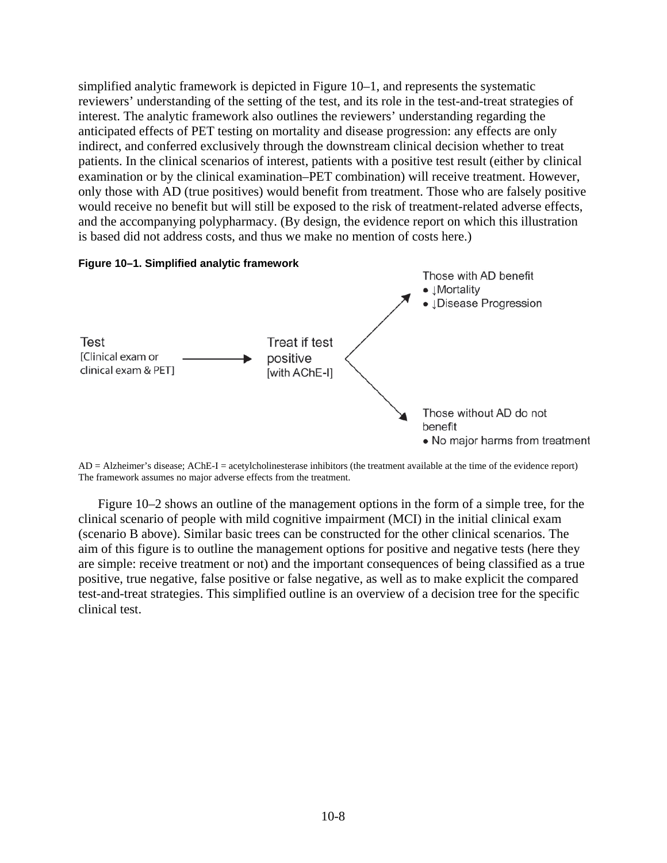simplified analytic framework is depicted in Figure 10–1, and represents the systematic reviewers' understanding of the setting of the test, and its role in the test-and-treat strategies of interest. The analytic framework also outlines the reviewers' understanding regarding the anticipated effects of PET testing on mortality and disease progression: any effects are only indirect, and conferred exclusively through the downstream clinical decision whether to treat patients. In the clinical scenarios of interest, patients with a positive test result (either by clinical examination or by the clinical examination–PET combination) will receive treatment. However, only those with AD (true positives) would benefit from treatment. Those who are falsely positive would receive no benefit but will still be exposed to the risk of treatment-related adverse effects, and the accompanying polypharmacy. (By design, the evidence report on which this illustration is based did not address costs, and thus we make no mention of costs here.)



**Figure 10–1. Simplified analytic framework**

AD = Alzheimer's disease; AChE-I = acetylcholinesterase inhibitors (the treatment available at the time of the evidence report) The framework assumes no major adverse effects from the treatment.

Figure 10–2 shows an outline of the management options in the form of a simple tree, for the clinical scenario of people with mild cognitive impairment (MCI) in the initial clinical exam (scenario B above). Similar basic trees can be constructed for the other clinical scenarios. The aim of this figure is to outline the management options for positive and negative tests (here they are simple: receive treatment or not) and the important consequences of being classified as a true positive, true negative, false positive or false negative, as well as to make explicit the compared test-and-treat strategies. This simplified outline is an overview of a decision tree for the specific clinical test.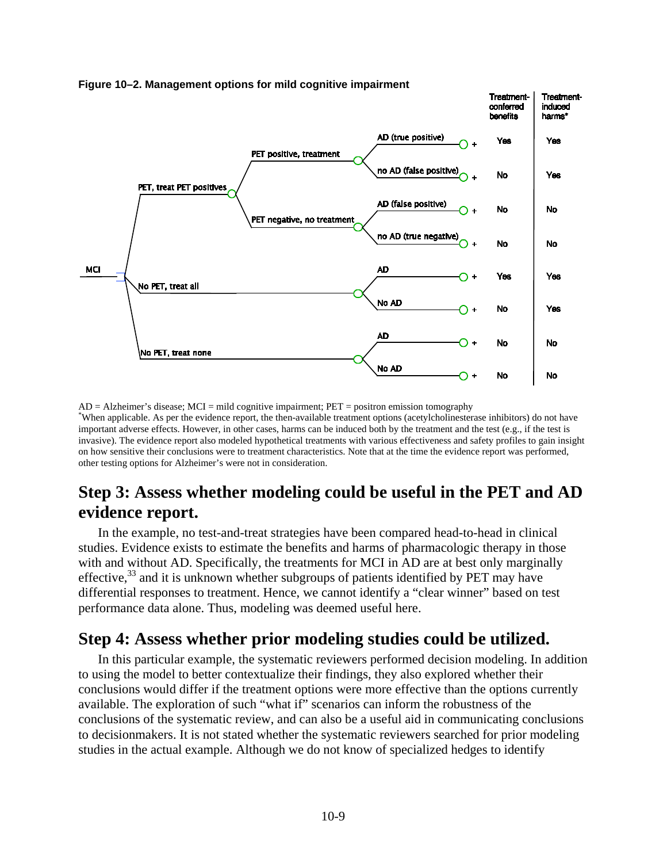

#### **Figure 10–2. Management options for mild cognitive impairment**

 $AD = Alzheimer's disease$ ;  $MCI = mild cognitive impairment$ ;  $PET = positron emission tomography$ When applicable. As per the evidence report, the then-available treatment options (acetylcholinesterase inhibitors) do not have important adverse effects. However, in other cases, harms can be induced both by the treatment and the test (e.g., if the test is invasive). The evidence report also modeled hypothetical treatments with various effectiveness and safety profiles to gain insight on how sensitive their conclusions were to treatment characteristics. Note that at the time the evidence report was performed, other testing options for Alzheimer's were not in consideration.

## **Step 3: Assess whether modeling could be useful in the PET and AD evidence report.**

In the example, no test-and-treat strategies have been compared head-to-head in clinical studies. Evidence exists to estimate the benefits and harms of pharmacologic therapy in those with and without AD. Specifically, the treatments for MCI in AD are at best only marginally effective,<sup>33</sup> and it is unknown whether subgroups of patients identified by PET may have differential responses to treatment. Hence, we cannot identify a "clear winner" based on test performance data alone. Thus, modeling was deemed useful here.

### **Step 4: Assess whether prior modeling studies could be utilized.**

In this particular example, the systematic reviewers performed decision modeling. In addition to using the model to better contextualize their findings, they also explored whether their conclusions would differ if the treatment options were more effective than the options currently available. The exploration of such "what if" scenarios can inform the robustness of the conclusions of the systematic review, and can also be a useful aid in communicating conclusions to decisionmakers. It is not stated whether the systematic reviewers searched for prior modeling studies in the actual example. Although we do not know of specialized hedges to identify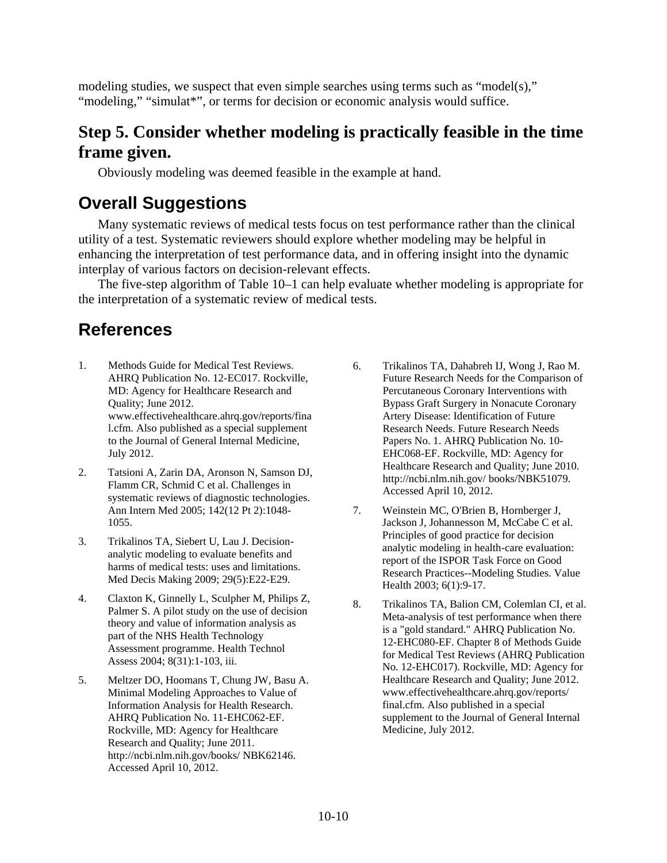modeling studies, we suspect that even simple searches using terms such as "model(s)," "modeling," "simulat\*", or terms for decision or economic analysis would suffice.

## **Step 5. Consider whether modeling is practically feasible in the time frame given.**

Obviously modeling was deemed feasible in the example at hand.

# **Overall Suggestions**

Many systematic reviews of medical tests focus on test performance rather than the clinical utility of a test. Systematic reviewers should explore whether modeling may be helpful in enhancing the interpretation of test performance data, and in offering insight into the dynamic interplay of various factors on decision-relevant effects.

The five-step algorithm of Table 10–1 can help evaluate whether modeling is appropriate for the interpretation of a systematic review of medical tests.

# **References**

- 1. Methods Guide for Medical Test Reviews. AHRQ Publication No. 12-EC017. Rockville, MD: Agency for Healthcare Research and Quality; June 2012. www.effectivehealthcare.ahrq.gov/reports/fina l.cfm. Also published as a special supplement to the Journal of General Internal Medicine, July 2012.
- 2. Tatsioni A, Zarin DA, Aronson N, Samson DJ, Flamm CR, Schmid C et al. Challenges in systematic reviews of diagnostic technologies. Ann Intern Med 2005; 142(12 Pt 2):1048- 1055.
- 3. Trikalinos TA, Siebert U, Lau J. Decisionanalytic modeling to evaluate benefits and harms of medical tests: uses and limitations. Med Decis Making 2009; 29(5):E22-E29.
- 4. Claxton K, Ginnelly L, Sculpher M, Philips Z, Palmer S. A pilot study on the use of decision theory and value of information analysis as part of the NHS Health Technology Assessment programme. Health Technol Assess 2004; 8(31):1-103, iii.
- 5. Meltzer DO, Hoomans T, Chung JW, Basu A. Minimal Modeling Approaches to Value of Information Analysis for Health Research. AHRQ Publication No. 11-EHC062-EF. Rockville, MD: Agency for Healthcare Research and Quality; June 2011. http://ncbi.nlm.nih.gov/books/ NBK62146. Accessed April 10, 2012.
- 6. Trikalinos TA, Dahabreh IJ, Wong J, Rao M. Future Research Needs for the Comparison of Percutaneous Coronary Interventions with Bypass Graft Surgery in Nonacute Coronary Artery Disease: Identification of Future Research Needs. Future Research Needs Papers No. 1. AHRQ Publication No. 10- EHC068-EF. Rockville, MD: Agency for Healthcare Research and Quality; June 2010. <http://ncbi.nlm.nih.gov/> books/NBK51079. Accessed April 10, 2012.
- 7. Weinstein MC, O'Brien B, Hornberger J, Jackson J, Johannesson M, McCabe C et al. Principles of good practice for decision analytic modeling in health-care evaluation: report of the ISPOR Task Force on Good Research Practices--Modeling Studies. Value Health 2003; 6(1):9-17.
- 8. Trikalinos TA, Balion CM, Colemlan CI, et al. Meta-analysis of test performance when there is a "gold standard." AHRQ Publication No. 12-EHC080-EF. Chapter 8 of Methods Guide for Medical Test Reviews (AHRQ Publication No. 12-EHC017). Rockville, MD: Agency for Healthcare Research and Quality; June 2012. www.effectivehealthcare.ahrq.gov/reports/ final.cfm. Also published in a special supplement to the Journal of General Internal Medicine, July 2012.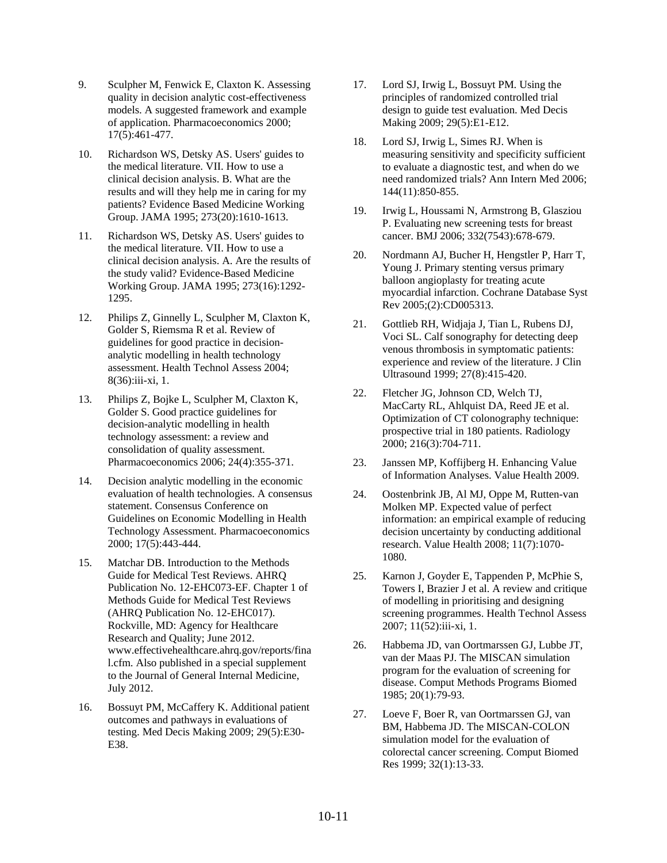- 9. Sculpher M, Fenwick E, Claxton K. Assessing quality in decision analytic cost-effectiveness models. A suggested framework and example of application. Pharmacoeconomics 2000; 17(5):461-477.
- 10. Richardson WS, Detsky AS. Users' guides to the medical literature. VII. How to use a clinical decision analysis. B. What are the results and will they help me in caring for my patients? Evidence Based Medicine Working Group. JAMA 1995; 273(20):1610-1613.
- 11. Richardson WS, Detsky AS. Users' guides to the medical literature. VII. How to use a clinical decision analysis. A. Are the results of the study valid? Evidence-Based Medicine Working Group. JAMA 1995; 273(16):1292- 1295.
- 12. Philips Z, Ginnelly L, Sculpher M, Claxton K, Golder S, Riemsma R et al. Review of guidelines for good practice in decisionanalytic modelling in health technology assessment. Health Technol Assess 2004; 8(36):iii-xi, 1.
- 13. Philips Z, Bojke L, Sculpher M, Claxton K, Golder S. Good practice guidelines for decision-analytic modelling in health technology assessment: a review and consolidation of quality assessment. Pharmacoeconomics 2006; 24(4):355-371.
- 14. Decision analytic modelling in the economic evaluation of health technologies. A consensus statement. Consensus Conference on Guidelines on Economic Modelling in Health Technology Assessment. Pharmacoeconomics 2000; 17(5):443-444.
- 15. Matchar DB. Introduction to the Methods Guide for Medical Test Reviews. AHRQ Publication No. 12-EHC073-EF. Chapter 1 of Methods Guide for Medical Test Reviews (AHRQ Publication No. 12-EHC017). Rockville, MD: Agency for Healthcare Research and Quality; June 2012. www.effectivehealthcare.ahrq.gov/reports/fina l.cfm. Also published in a special supplement to the Journal of General Internal Medicine, July 2012.
- 16. Bossuyt PM, McCaffery K. Additional patient outcomes and pathways in evaluations of testing. Med Decis Making 2009; 29(5):E30- E38.
- 17. Lord SJ, Irwig L, Bossuyt PM. Using the principles of randomized controlled trial design to guide test evaluation. Med Decis Making 2009; 29(5):E1-E12.
- 18. Lord SJ, Irwig L, Simes RJ. When is measuring sensitivity and specificity sufficient to evaluate a diagnostic test, and when do we need randomized trials? Ann Intern Med 2006; 144(11):850-855.
- 19. Irwig L, Houssami N, Armstrong B, Glasziou P. Evaluating new screening tests for breast cancer. BMJ 2006; 332(7543):678-679.
- 20. Nordmann AJ, Bucher H, Hengstler P, Harr T, Young J. Primary stenting versus primary balloon angioplasty for treating acute myocardial infarction. Cochrane Database Syst Rev 2005;(2):CD005313.
- 21. Gottlieb RH, Widjaja J, Tian L, Rubens DJ, Voci SL. Calf sonography for detecting deep venous thrombosis in symptomatic patients: experience and review of the literature. J Clin Ultrasound 1999; 27(8):415-420.
- 22. Fletcher JG, Johnson CD, Welch TJ, MacCarty RL, Ahlquist DA, Reed JE et al. Optimization of CT colonography technique: prospective trial in 180 patients. Radiology 2000; 216(3):704-711.
- 23. Janssen MP, Koffijberg H. Enhancing Value of Information Analyses. Value Health 2009.
- 24. Oostenbrink JB, Al MJ, Oppe M, Rutten-van Molken MP. Expected value of perfect information: an empirical example of reducing decision uncertainty by conducting additional research. Value Health 2008; 11(7):1070- 1080.
- 25. Karnon J, Goyder E, Tappenden P, McPhie S, Towers I, Brazier J et al. A review and critique of modelling in prioritising and designing screening programmes. Health Technol Assess 2007; 11(52):iii-xi, 1.
- 26. Habbema JD, van Oortmarssen GJ, Lubbe JT, van der Maas PJ. The MISCAN simulation program for the evaluation of screening for disease. Comput Methods Programs Biomed 1985; 20(1):79-93.
- 27. Loeve F, Boer R, van Oortmarssen GJ, van BM, Habbema JD. The MISCAN-COLON simulation model for the evaluation of colorectal cancer screening. Comput Biomed Res 1999; 32(1):13-33.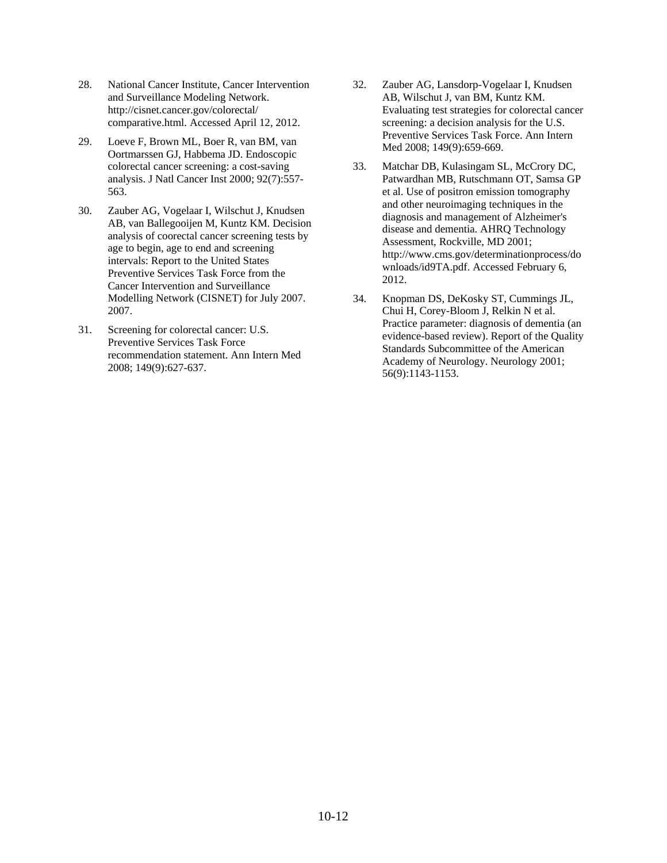- 28. National Cancer Institute, Cancer Intervention and Surveillance Modeling Network. http://cisnet.cancer.gov/colorectal/ comparative.html. Accessed April 12, 2012.
- 29. Loeve F, Brown ML, Boer R, van BM, van Oortmarssen GJ, Habbema JD. Endoscopic colorectal cancer screening: a cost-saving analysis. J Natl Cancer Inst 2000; 92(7):557- 563.
- 30. Zauber AG, Vogelaar I, Wilschut J, Knudsen AB, van Ballegooijen M, Kuntz KM. Decision analysis of coorectal cancer screening tests by age to begin, age to end and screening intervals: Report to the United States Preventive Services Task Force from the Cancer Intervention and Surveillance Modelling Network (CISNET) for July 2007. 2007.
- 31. Screening for colorectal cancer: U.S. Preventive Services Task Force recommendation statement. Ann Intern Med 2008; 149(9):627-637.
- 32. Zauber AG, Lansdorp-Vogelaar I, Knudsen AB, Wilschut J, van BM, Kuntz KM. Evaluating test strategies for colorectal cancer screening: a decision analysis for the U.S. Preventive Services Task Force. Ann Intern Med 2008; 149(9):659-669.
- 33. Matchar DB, Kulasingam SL, McCrory DC, Patwardhan MB, Rutschmann OT, Samsa GP et al. Use of positron emission tomography and other neuroimaging techniques in the diagnosis and management of Alzheimer's disease and dementia. AHRQ Technology Assessment, Rockville, MD 2001; http://www.cms.gov/determinationprocess/do wnloads/id9TA.pdf. Accessed February 6, 2012.
- 34. Knopman DS, DeKosky ST, Cummings JL, Chui H, Corey-Bloom J, Relkin N et al. Practice parameter: diagnosis of dementia (an evidence-based review). Report of the Quality Standards Subcommittee of the American Academy of Neurology. Neurology 2001; 56(9):1143-1153.